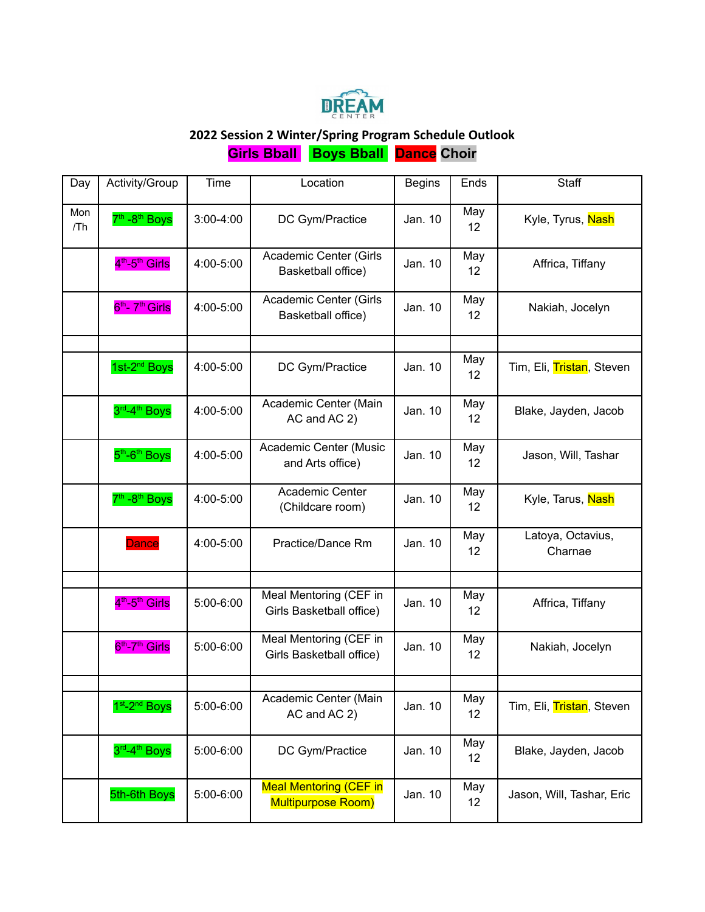

## **2022 Session 2 Winter/Spring Program Schedule Outlook**

**Girls Bball Boys Bball Dance Choir**

| Day        | Activity/Group                          | Time          | Location                                            | <b>Begins</b> | Ends                   | <b>Staff</b>                 |
|------------|-----------------------------------------|---------------|-----------------------------------------------------|---------------|------------------------|------------------------------|
| Mon<br>/Th | 7 <sup>th</sup> -8 <sup>th</sup> Boys   | $3:00 - 4:00$ | DC Gym/Practice                                     | Jan. 10       | May<br>12 <sup>°</sup> | Kyle, Tyrus, Nash            |
|            | 4 <sup>th</sup> -5 <sup>th</sup> Girls  | 4:00-5:00     | Academic Center (Girls<br>Basketball office)        | Jan. 10       | May<br>12              | Affrica, Tiffany             |
|            | 6 <sup>th</sup> - 7 <sup>th</sup> Girls | 4:00-5:00     | Academic Center (Girls<br>Basketball office)        | Jan. 10       | May<br>12              | Nakiah, Jocelyn              |
|            |                                         |               |                                                     |               |                        |                              |
|            | 1st-2 <sup>nd</sup> Boys                | 4:00-5:00     | DC Gym/Practice                                     | Jan. 10       | May<br>12              | Tim, Eli, Tristan, Steven    |
|            | 3rd <sub>-4th</sub> Boys                | 4:00-5:00     | Academic Center (Main<br>AC and AC 2)               | Jan. 10       | May<br>12              | Blake, Jayden, Jacob         |
|            | 5 <sup>th</sup> -6 <sup>th</sup> Boys   | 4:00-5:00     | Academic Center (Music<br>and Arts office)          | Jan. 10       | May<br>12              | Jason, Will, Tashar          |
|            | 7 <sup>th</sup> -8 <sup>th</sup> Boys   | 4:00-5:00     | Academic Center<br>(Childcare room)                 | Jan. 10       | May<br>12              | Kyle, Tarus, Nash            |
|            | <b>Dance</b>                            | 4:00-5:00     | Practice/Dance Rm                                   | Jan. 10       | May<br>12              | Latoya, Octavius,<br>Charnae |
|            |                                         |               |                                                     |               |                        |                              |
|            | 4 <sup>th</sup> -5 <sup>th</sup> Girls  | 5:00-6:00     | Meal Mentoring (CEF in<br>Girls Basketball office)  | Jan. 10       | May<br>12              | Affrica, Tiffany             |
|            | 6 <sup>th</sup> -7 <sup>th</sup> Girls  | 5:00-6:00     | Meal Mentoring (CEF in<br>Girls Basketball office)  | Jan. 10       | May<br>12              | Nakiah, Jocelyn              |
|            |                                         |               |                                                     |               |                        |                              |
|            | 1 <sup>st</sup> -2 <sup>nd</sup> Boys   | 5:00-6:00     | Academic Center (Main<br>AC and AC 2)               | Jan. 10       | May<br>12              | Tim, Eli, Tristan, Steven    |
|            | 3rd <sub>-4th</sub> Boys                | 5:00-6:00     | DC Gym/Practice                                     | Jan. 10       | May<br>12              | Blake, Jayden, Jacob         |
|            | 5th-6th Boys                            | 5:00-6:00     | <b>Meal Mentoring (CEF in</b><br>Multipurpose Room) | Jan. 10       | May<br>12              | Jason, Will, Tashar, Eric    |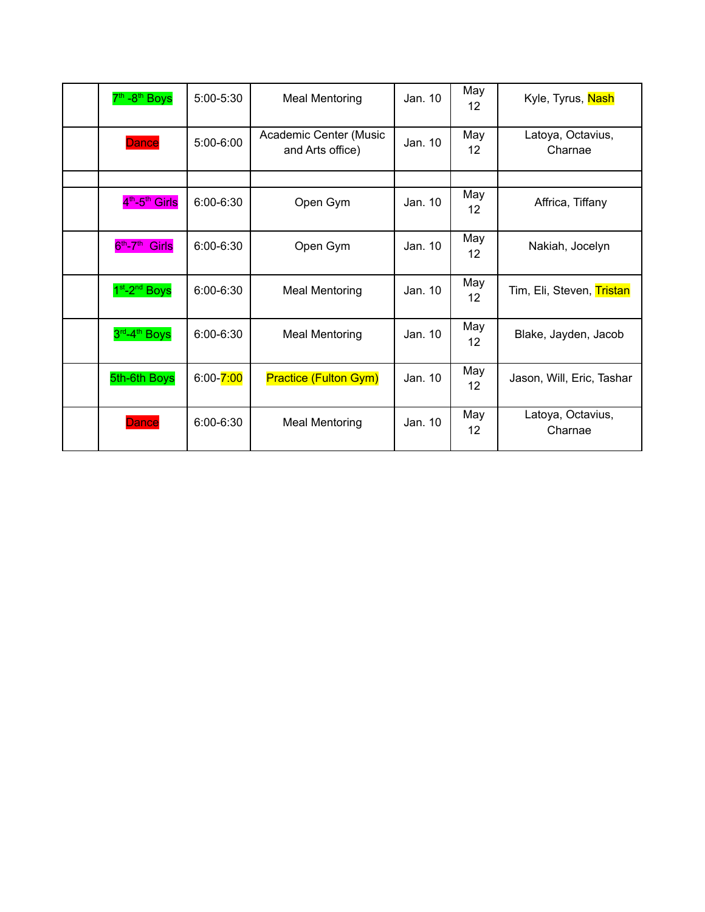| 7 <sup>th</sup> -8 <sup>th</sup> Boys  | 5:00-5:30     | <b>Meal Mentoring</b>                      | Jan. 10 | May<br>12 <sup>2</sup>   | Kyle, Tyrus, Nash            |
|----------------------------------------|---------------|--------------------------------------------|---------|--------------------------|------------------------------|
| <b>Dance</b>                           | 5:00-6:00     | Academic Center (Music<br>and Arts office) | Jan. 10 | May<br>$12 \overline{ }$ | Latoya, Octavius,<br>Charnae |
|                                        |               |                                            |         |                          |                              |
| 4 <sup>th</sup> -5 <sup>th</sup> Girls | $6:00 - 6:30$ | Open Gym                                   | Jan. 10 | May<br>12 <sup>°</sup>   | Affrica, Tiffany             |
| $6th-7th$<br><b>Girls</b>              | 6:00-6:30     | Open Gym                                   | Jan. 10 | May<br>12 <sup>°</sup>   | Nakiah, Jocelyn              |
| 1 <sup>st</sup> -2 <sup>nd</sup> Boys  | $6:00 - 6:30$ | <b>Meal Mentoring</b>                      | Jan. 10 | May<br>12 <sup>°</sup>   | Tim, Eli, Steven, Tristan    |
| 3 <sup>rd</sup> -4 <sup>th</sup> Boys  | $6:00 - 6:30$ | <b>Meal Mentoring</b>                      | Jan. 10 | May<br>12 <sup>°</sup>   | Blake, Jayden, Jacob         |
| 5th-6th Boys                           | $6:00 - 7:00$ | <b>Practice (Fulton Gym)</b>               | Jan. 10 | May<br>12 <sup>°</sup>   | Jason, Will, Eric, Tashar    |
| <b>Dance</b>                           | $6:00 - 6:30$ | <b>Meal Mentoring</b>                      | Jan. 10 | May<br>12                | Latoya, Octavius,<br>Charnae |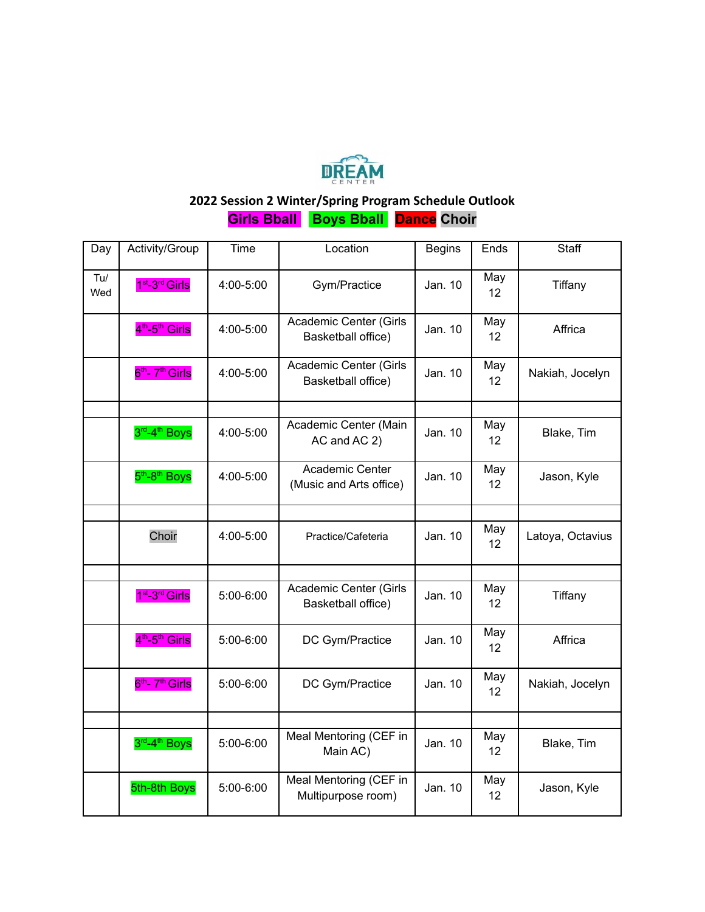

## **2022 Session 2 Winter/Spring Program Schedule Outlook**

**Girls Bball Boys Bball Dance Choir**

| Day        | Activity/Group                          | Time      | Location                                     | <b>Begins</b> | Ends                   | Staff            |
|------------|-----------------------------------------|-----------|----------------------------------------------|---------------|------------------------|------------------|
| Tu/<br>Wed | 1 <sup>st</sup> -3 <sup>rd</sup> Girls  | 4:00-5:00 | Gym/Practice                                 | Jan. 10       | May<br>12              | Tiffany          |
|            | 4 <sup>th</sup> -5 <sup>th</sup> Girls  | 4:00-5:00 | Academic Center (Girls<br>Basketball office) | Jan. 10       | May<br>12              | Affrica          |
|            | 6 <sup>th</sup> - 7 <sup>th</sup> Girls | 4:00-5:00 | Academic Center (Girls<br>Basketball office) | Jan. 10       | May<br>12              | Nakiah, Jocelyn  |
|            |                                         |           |                                              |               |                        |                  |
|            | 3rd <sub>-4th</sub> Boys                | 4:00-5:00 | Academic Center (Main<br>AC and AC 2)        | Jan. 10       | May<br>12              | Blake, Tim       |
|            | 5 <sup>th</sup> -8 <sup>th</sup> Boys   | 4:00-5:00 | Academic Center<br>(Music and Arts office)   | Jan. 10       | May<br>12              | Jason, Kyle      |
|            |                                         |           |                                              |               |                        |                  |
|            | Choir                                   | 4:00-5:00 | Practice/Cafeteria                           | Jan. 10       | May<br>12              | Latoya, Octavius |
|            |                                         |           |                                              |               |                        |                  |
|            | 1 <sup>st</sup> -3 <sup>rd</sup> Girls  | 5:00-6:00 | Academic Center (Girls<br>Basketball office) | Jan. 10       | May<br>12              | Tiffany          |
|            | 4 <sup>th</sup> -5 <sup>th</sup> Girls  | 5:00-6:00 | DC Gym/Practice                              | Jan. 10       | May<br>12              | Affrica          |
|            | 6 <sup>th</sup> - 7 <sup>th</sup> Girls | 5:00-6:00 | DC Gym/Practice                              | Jan. 10       | May<br>12 <sup>2</sup> | Nakiah, Jocelyn  |
|            |                                         |           |                                              |               |                        |                  |
|            | 3rd <sub>-4th</sub> Boys                | 5:00-6:00 | Meal Mentoring (CEF in<br>Main AC)           | Jan. 10       | May<br>12              | Blake, Tim       |
|            | 5th-8th Boys                            | 5:00-6:00 | Meal Mentoring (CEF in<br>Multipurpose room) | Jan. 10       | May<br>12              | Jason, Kyle      |